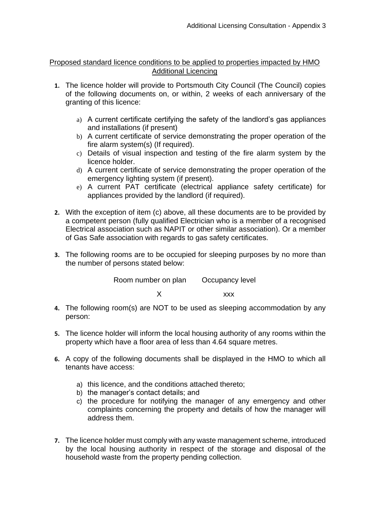## Proposed standard licence conditions to be applied to properties impacted by HMO Additional Licencing

- **1.** The licence holder will provide to Portsmouth City Council (The Council) copies of the following documents on, or within, 2 weeks of each anniversary of the granting of this licence:
	- a) A current certificate certifying the safety of the landlord's gas appliances and installations (if present)
	- b) A current certificate of service demonstrating the proper operation of the fire alarm system(s) (If required).
	- c) Details of visual inspection and testing of the fire alarm system by the licence holder.
	- d) A current certificate of service demonstrating the proper operation of the emergency lighting system (if present).
	- e) A current PAT certificate (electrical appliance safety certificate) for appliances provided by the landlord (if required).
- **2.** With the exception of item (c) above, all these documents are to be provided by a competent person (fully qualified Electrician who is a member of a recognised Electrical association such as NAPIT or other similar association). Or a member of Gas Safe association with regards to gas safety certificates.
- **3.** The following rooms are to be occupied for sleeping purposes by no more than the number of persons stated below:

Room number on plan Occupancy level X xxx

- **4.** The following room(s) are NOT to be used as sleeping accommodation by any person:
- **5.** The licence holder will inform the local housing authority of any rooms within the property which have a floor area of less than 4.64 square metres.
- **6.** A copy of the following documents shall be displayed in the HMO to which all tenants have access:
	- a) this licence, and the conditions attached thereto;
	- b) the manager's contact details; and
	- c) the procedure for notifying the manager of any emergency and other complaints concerning the property and details of how the manager will address them.
- **7.** The licence holder must comply with any waste management scheme, introduced by the local housing authority in respect of the storage and disposal of the household waste from the property pending collection.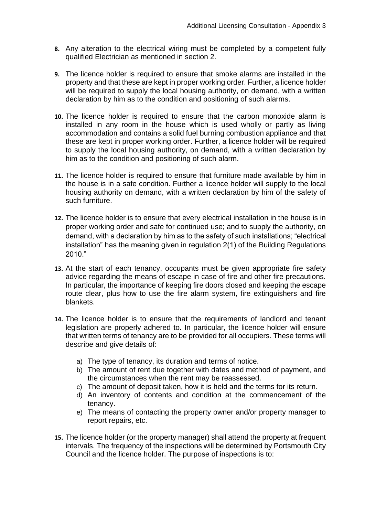- **8.** Any alteration to the electrical wiring must be completed by a competent fully qualified Electrician as mentioned in section 2.
- **9.** The licence holder is required to ensure that smoke alarms are installed in the property and that these are kept in proper working order. Further, a licence holder will be required to supply the local housing authority, on demand, with a written declaration by him as to the condition and positioning of such alarms.
- **10.** The licence holder is required to ensure that the carbon monoxide alarm is installed in any room in the house which is used wholly or partly as living accommodation and contains a solid fuel burning combustion appliance and that these are kept in proper working order. Further, a licence holder will be required to supply the local housing authority, on demand, with a written declaration by him as to the condition and positioning of such alarm.
- **11.** The licence holder is required to ensure that furniture made available by him in the house is in a safe condition. Further a licence holder will supply to the local housing authority on demand, with a written declaration by him of the safety of such furniture.
- **12.** The licence holder is to ensure that every electrical installation in the house is in proper working order and safe for continued use; and to supply the authority, on demand, with a declaration by him as to the safety of such installations; "electrical installation" has the meaning given in regulation 2(1) of the Building Regulations 2010."
- **13.** At the start of each tenancy, occupants must be given appropriate fire safety advice regarding the means of escape in case of fire and other fire precautions. In particular, the importance of keeping fire doors closed and keeping the escape route clear, plus how to use the fire alarm system, fire extinguishers and fire blankets.
- **14.** The licence holder is to ensure that the requirements of landlord and tenant legislation are properly adhered to. In particular, the licence holder will ensure that written terms of tenancy are to be provided for all occupiers. These terms will describe and give details of:
	- a) The type of tenancy, its duration and terms of notice.
	- b) The amount of rent due together with dates and method of payment, and the circumstances when the rent may be reassessed.
	- c) The amount of deposit taken, how it is held and the terms for its return.
	- d) An inventory of contents and condition at the commencement of the tenancy.
	- e) The means of contacting the property owner and/or property manager to report repairs, etc.
- **15.** The licence holder (or the property manager) shall attend the property at frequent intervals. The frequency of the inspections will be determined by Portsmouth City Council and the licence holder. The purpose of inspections is to: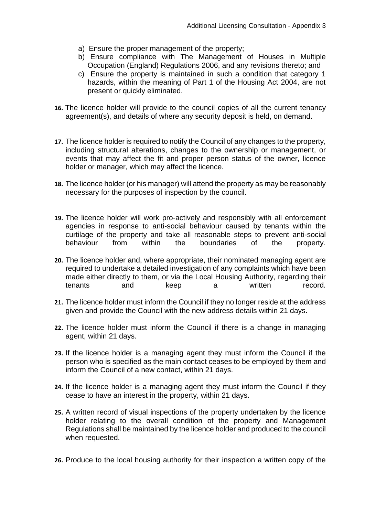- a) Ensure the proper management of the property;
- b) Ensure compliance with The Management of Houses in Multiple Occupation (England) Regulations 2006, and any revisions thereto; and
- c) Ensure the property is maintained in such a condition that category 1 hazards, within the meaning of Part 1 of the Housing Act 2004, are not present or quickly eliminated.
- **16.** The licence holder will provide to the council copies of all the current tenancy agreement(s), and details of where any security deposit is held, on demand.
- **17.** The licence holder is required to notify the Council of any changes to the property, including structural alterations, changes to the ownership or management, or events that may affect the fit and proper person status of the owner, licence holder or manager, which may affect the licence.
- **18.** The licence holder (or his manager) will attend the property as may be reasonably necessary for the purposes of inspection by the council.
- **19.** The licence holder will work pro-actively and responsibly with all enforcement agencies in response to anti-social behaviour caused by tenants within the curtilage of the property and take all reasonable steps to prevent anti-social behaviour from within the boundaries of the property.
- **20.** The licence holder and, where appropriate, their nominated managing agent are required to undertake a detailed investigation of any complaints which have been made either directly to them, or via the Local Housing Authority, regarding their tenants and keep a written record.
- **21.** The licence holder must inform the Council if they no longer reside at the address given and provide the Council with the new address details within 21 days.
- **22.** The licence holder must inform the Council if there is a change in managing agent, within 21 days.
- **23.** If the licence holder is a managing agent they must inform the Council if the person who is specified as the main contact ceases to be employed by them and inform the Council of a new contact, within 21 days.
- **24.** If the licence holder is a managing agent they must inform the Council if they cease to have an interest in the property, within 21 days.
- **25.** A written record of visual inspections of the property undertaken by the licence holder relating to the overall condition of the property and Management Regulations shall be maintained by the licence holder and produced to the council when requested.
- **26.** Produce to the local housing authority for their inspection a written copy of the